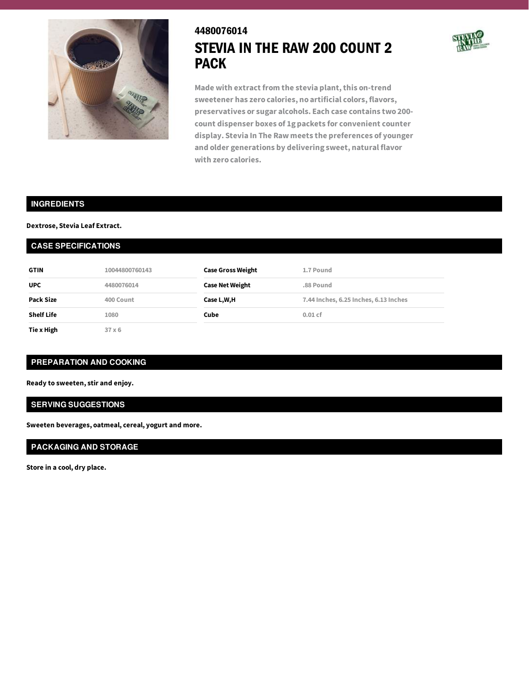

# 4480076014 STEVIA IN THE RAW 200 COUNT 2 PACK



**Made with extract from the stevia plant,this on-trend sweetener has zero calories, no artificial colors, flavors, preservatives or sugar alcohols. Each case contains two 200 count dispenser boxes of 1g packets for convenient counter display. Stevia In The Raw meets the preferences of younger and older generations by delivering sweet, natural flavor with zero calories.**

### **INGREDIENTS**

#### **Dextrose, Stevia Leaf Extract.**

#### **CASE SPECIFICATIONS**

| <b>GTIN</b>       | 10044800760143 | <b>Case Gross Weight</b> | 1.7 Pound                             |
|-------------------|----------------|--------------------------|---------------------------------------|
| <b>UPC</b>        | 4480076014     | <b>Case Net Weight</b>   | .88 Pound                             |
| Pack Size         | 400 Count      | Case L,W,H               | 7.44 Inches, 6.25 Inches, 6.13 Inches |
| <b>Shelf Life</b> | 1080           | Cube                     | $0.01$ cf                             |
| Tie x High        | $37 \times 6$  |                          |                                       |

## **PREPARATION AND COOKING**

**Ready to sweeten, stir and enjoy.**

#### **SERVING SUGGESTIONS**

**Sweeten beverages, oatmeal, cereal, yogurt and more.**

## **PACKAGING AND STORAGE**

**Store in a cool, dry place.**